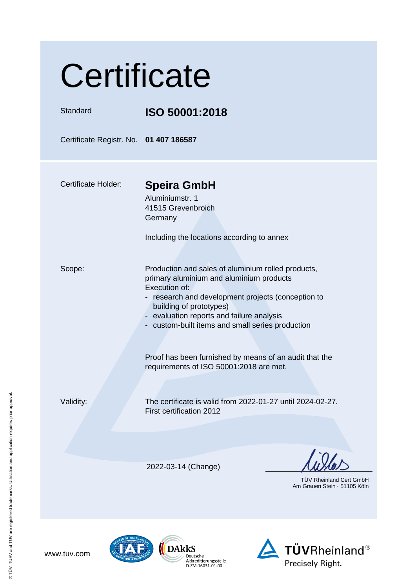| Certificate                            |                                                                                                                                                                                                                                                                                                   |  |
|----------------------------------------|---------------------------------------------------------------------------------------------------------------------------------------------------------------------------------------------------------------------------------------------------------------------------------------------------|--|
| Standard                               | ISO 50001:2018                                                                                                                                                                                                                                                                                    |  |
| Certificate Registr. No. 01 407 186587 |                                                                                                                                                                                                                                                                                                   |  |
| <b>Certificate Holder:</b>             | <b>Speira GmbH</b><br>Aluminiumstr. 1<br>41515 Grevenbroich<br>Germany<br>Including the locations according to annex                                                                                                                                                                              |  |
| Scope:                                 | Production and sales of aluminium rolled products,<br>primary aluminium and aluminium products<br>Execution of:<br>- research and development projects (conception to<br>building of prototypes)<br>- evaluation reports and failure analysis<br>- custom-built items and small series production |  |
|                                        | Proof has been furnished by means of an audit that the<br>requirements of ISO 50001:2018 are met.                                                                                                                                                                                                 |  |
| Validity:                              | The certificate is valid from 2022-01-27 until 2024-02-27.<br>First certification 2012                                                                                                                                                                                                            |  |
|                                        | 2022-03-14 (Change)                                                                                                                                                                                                                                                                               |  |
|                                        | <b>TUV Rheinland Cert GmbH</b><br>Am Grauen Stein · 51105 Köln                                                                                                                                                                                                                                    |  |





® TÜV, TUEV and TUV are registered trademarks. Utilisation and application requires prior approval. ® TÜV, TUEV and TUV are registered trademarks. Utilisation and application requires prior approval.

www.tuv.com